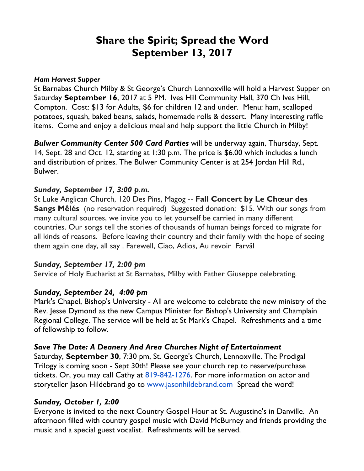# **Share the Spirit; Spread the Word September 13, 2017**

#### *Ham Harvest Supper*

St Barnabas Church Milby & St George's Church Lennoxville will hold a Harvest Supper on Saturday **September 16**, 2017 at 5 PM. Ives Hill Community Hall, 370 Ch Ives Hill, Compton. Cost: \$13 for Adults, \$6 for children 12 and under. Menu: ham, scalloped potatoes, squash, baked beans, salads, homemade rolls & dessert. Many interesting raffle items. Come and enjoy a delicious meal and help support the little Church in Milby!

*Bulwer Community Center 500 Card Parties* will be underway again, Thursday, Sept. 14, Sept. 28 and Oct. 12, starting at 1:30 p.m. The price is \$6.00 which includes a lunch and distribution of prizes. The Bulwer Community Center is at 254 Jordan Hill Rd., Bulwer.

#### *Sunday, September 17, 3:00 p.m.*

St Luke Anglican Church, 120 Des Pins, Magog -- **Fall Concert by Le Chœur des Sangs Mêlés** (no reservation required) Suggested donation: \$15. With our songs from many cultural sources, we invite you to let yourself be carried in many different countries. Our songs tell the stories of thousands of human beings forced to migrate for all kinds of reasons. Before leaving their country and their family with the hope of seeing them again one day, all say . Farewell, Ciao, Adios, Au revoir Farväl

#### *Sunday, September 17, 2:00 pm*

Service of Holy Eucharist at St Barnabas, Milby with Father Giuseppe celebrating.

## *Sunday, September 24, 4:00 pm*

Mark's Chapel, Bishop's University - All are welcome to celebrate the new ministry of the Rev. Jesse Dymond as the new Campus Minister for Bishop's University and Champlain Regional College. The service will be held at St Mark's Chapel. Refreshments and a time of fellowship to follow.

## *Save The Date: A Deanery And Area Churches Night of Entertainment*

Saturday, **September 30**, 7:30 pm, St. George's Church, Lennoxville. The Prodigal Trilogy is coming soon - Sept 30th! Please see your church rep to reserve/purchase tickets. Or, you may call Cathy at 819-842-1276. For more information on actor and storyteller Jason Hildebrand go to www.jasonhildebrand.com Spread the word!

## *Sunday, October 1, 2:00*

Everyone is invited to the next Country Gospel Hour at St. Augustine's in Danville. An afternoon filled with country gospel music with David McBurney and friends providing the music and a special guest vocalist. Refreshments will be served.